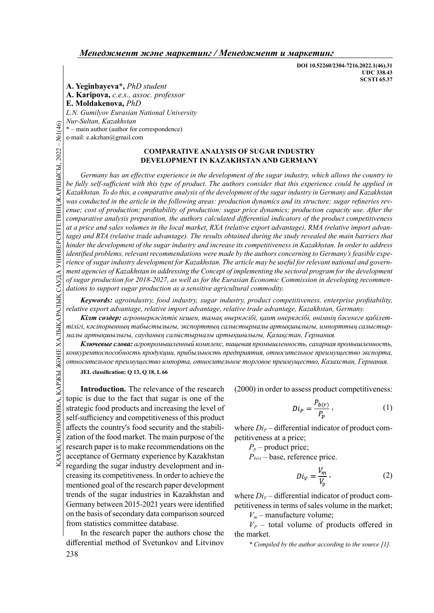DOI 10.52260/2304-7216.2022.1(46).31 UDC 338.43 SCSTI 65.37

A. Yeginbayeva\*, PhD student A. Karipova, c.e.s., assoc. professor E. Moldakenova, PhD L.N. Gumilyov Eurasian National University Nur-Sultan, Kazakhstan

\* – main author (author for correspondence)

e-mail: e.akzhan@gmail.com

### COMPARATIVE ANALYSIS OF SUGAR INDUSTRY DEVELOPMENT IN KAZAKHSTAN AND GERMANY

G The state of sugar industrial to the fully self-sufficient window the fully self-sufficient window the fully self-sufficient window the state of sugar and sales volume of the artic energy cost of production; comparativ Germany has an effective experience in the development of the sugar industry, which allows the country to be fully self-sufficient with this type of product. The authors consider that this experience could be applied in Kazakhstan. To do this, a comparative analysis of the development of the sugar industry in Germany and Kazakhstan was conducted in the article in the following areas: production dynamics and its structure; sugar refineries revenue; cost of production; profitability of production; sugar price dynamics; production capacity use. After the comparative analysis preparation, the authors calculated differential indicators of the product competitiveness at a price and sales volumes in the local market, RXA (relative export advantage), RMA (relative import advantage) and RTA (relative trade advantage). The results obtained during the study revealed the main barriers that hinder the development of the sugar industry and increase its competitiveness in Kazakhstan. In order to address identified problems, relevant recommendations were made by the authors concerning to Germany's feasible experience of sugar industry development for Kazakhstan. The article may be useful for relevant national and government agencies of Kazakhstan in addressing the Concept of implementing the sectoral program for the development of sugar production for 2018-2027, as well as for the Eurasian Economic Commission in developing recommendations to support sugar production as a sensitive agricultural commodity.

Keywords: agroindustry, food industry, sugar industry, product competitiveness, enterprise profitability, relative export advantage, relative import advantage, relative trade advantage, Kazakhstan, Germany.

Кілт сөздер: агроөнеркәсіптік кешен, тамақ өнеркәсібі, қант өнеркәсібі, өнімнің бәсекеге қабілеттілігі, кәсіпорынның табыстылығы, экспорттың салыстырмалы артықшылығы, импорттың салыстырмалы артықшылығы, сауданың салыстырмалы артықшылығы, Қазақстан, Германия.

Ключевые слова: агропромышленный комплекс, пищевая промышленность, сахарная промышленность, конкурентоспособность продукции, прибыльность предприятия, относительное преимущество экспорта, относительное преимущество импорта, относительное торговое преимущество, Казахстан, Германия.

JEL classification: O 13, O 18, L 66

SERVEST THE Classification: Q 13, Q 18, L 66<br>
Introduction. The relevance of the research (2000) in order<br>  $\frac{1}{2}$  Introduction. The relevance of the research (2000) in order<br>
strategic food products and increasing the Introduction. The relevance of the research topic is due to the fact that sugar is one of the strategic food products and increasing the level of self-sufficiency and competitiveness of this product affects the country's food security and the stabilization of the food market. The main purpose of the research paper is to make recommendations on the acceptance of Germany experience by Kazakhstan regarding the sugar industry development and increasing its competitiveness. In order to achieve the mentioned goal of the research paper development trends of the sugar industries in Kazakhstan and Germany between 2015-2021 years were identified on the basis of secondary data comparison sourced from statistics committee database.

In the research paper the authors chose the differential method of Svetunkov and Litvinov (2000) in order to assess product competitiveness:

$$
Di_{P} = \frac{P_{b(r)}}{P_n},\tag{1}
$$

where  $Di_{P}$  – differential indicator of product competitiveness at a price;

 $P_p$  – product price;

 $P_{b(r)}$  – base, reference price.

$$
Di_V = \frac{V_m}{V_p},\tag{2}
$$

where  $Di_V$  – differential indicator of product competitiveness in terms of sales volume in the market;

 $V_m$  – manufacture volume;

 $V_P$  – total volume of products offered in the market.

\* Compiled by the author according to the source [1].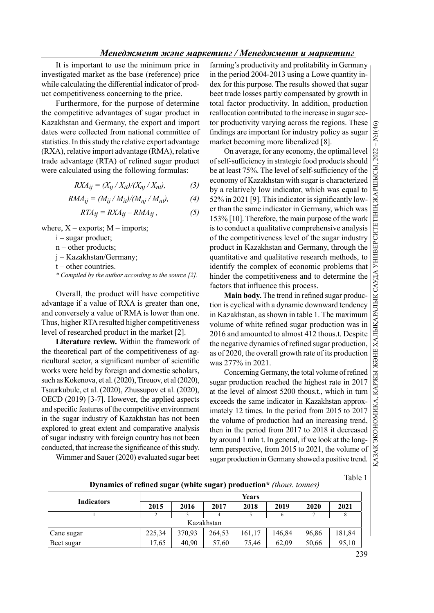It is important to use the minimum price in investigated market as the base (reference) price while calculating the differential indicator of product competitiveness concerning to the price.

Furthermore, for the purpose of determine the competitive advantages of sugar product in Kazakhstan and Germany, the export and import dates were collected from national committee of statistics. In this study the relative export advantage (RXA), relative import advantage (RMA), relative trade advantage (RTA) of refined sugar product were calculated using the following formulas:

$$
RXA_{ij} = (X_{ij}/X_{it})/(X_{nj}/X_{nt}),
$$
 (3)

$$
RMA_{ij} = (M_{ij}/M_{it})/(M_{nj}/M_{nt}), \qquad (4)
$$

$$
RTA_{ij} = RXA_{ij} - RMA_{ij}, \qquad (5)
$$

where,  $X$  – exports;  $M$  – imports;

 $i$  – sugar product;

 $n$  – other products;

j – Kazakhstan/Germany;

 $t$  – other countries.

\* Compiled by the author according to the source [2].

Overall, the product will have competitive advantage if a value of RXA is greater than one, and conversely a value of RMA is lower than one. Thus, higher RTA resulted higher competitiveness level of researched product in the market [2].

Literature review. Within the framework of the theoretical part of the competitiveness of agricultural sector, a significant number of scientific works were held by foreign and domestic scholars, such as Kokenova, et al. (2020), Tireuov, et al (2020), Tsaurkubule, et al. (2020), Zhussupov et al. (2020), OECD (2019) [3-7]. However, the applied aspects and specific features of the competitive environment in the sugar industry of Kazakhstan has not been explored to great extent and comparative analysis of sugar industry with foreign country has not been conducted, that increase the significance of this study.

Wimmer and Sauer (2020) evaluated sugar beet

farming's productivity and profitability in Germany in the period 2004-2013 using a Lowe quantity index for this purpose. The results showed that sugar beet trade losses partly compensated by growth in total factor productivity. In addition, production reallocation contributed to the increase in sugar sector productivity varying across the regions. These findings are important for industry policy as sugar market becoming more liberalized [8].

oroductivity varying across the regions. These  $\frac{Q}{Q}$ <br>ings are important for industry policy as sugar [161]. On average, for any economy, the optimal level [16]. On average, for any economy, the optimal level [16]. On of self-sufficiency in strategic food products should be at least 75%. The level of self-sufficiency of the economy of Kazakhstan with sugar is characterized by a relatively low indicator, which was equal to  $52\%$  in 2021 [9]. This indicator is significantly lower than the same indicator in Germany, which was 153% [10]. Therefore, the main purpose of the work is to conduct a qualitative comprehensive analysis of the competitiveness level of the sugar industry product in Kazakhstan and Germany, through the quantitative and qualitative research methods, to identify the complex of economic problems that hinder the competitiveness and to determine the factors that influence this process.

Main body. The trend in refined sugar production is cyclical with a dynamic downward tendency in Kazakhstan, as shown in table 1. The maximum volume of white refined sugar production was in 2016 and amounted to almost 412 thous.t. Despite the negative dynamics of refined sugar production, as of 2020, the overall growth rate of its production was 277% in 2021.

Concerning Germany, the total volume of refined sugar production reached the highest rate in 2017 at the level of almost 5200 thous.t., which in turn exceeds the same indicator in Kazakhstan approximately 12 times. In the period from 2015 to 2017 the volume of production had an increasing trend, then in the period from 2017 to 2018 it decreased by around 1 mln t. In general, if we look at the longterm perspective, from 2015 to 2021, the volume of sugar production in Germany showed a positive trend.

Table 1

Dynamics of refined sugar (white sugar) production\* (thous. tonnes)

|                   | <b>Years</b> |        |        |        |        |       |        |  |
|-------------------|--------------|--------|--------|--------|--------|-------|--------|--|
| <b>Indicators</b> | 2015         | 2016   | 2017   | 2018   | 2019   | 2020  | 2021   |  |
|                   |              |        | 4      |        |        |       | 8      |  |
| Kazakhstan        |              |        |        |        |        |       |        |  |
| Cane sugar        | 225.34       | 370.93 | 264,53 | 161.17 | 146,84 | 96,86 | 181,84 |  |
| Beet sugar        | 17,65        | 40.90  | 57,60  | 75,46  | 62,09  | 50,66 | 95,10  |  |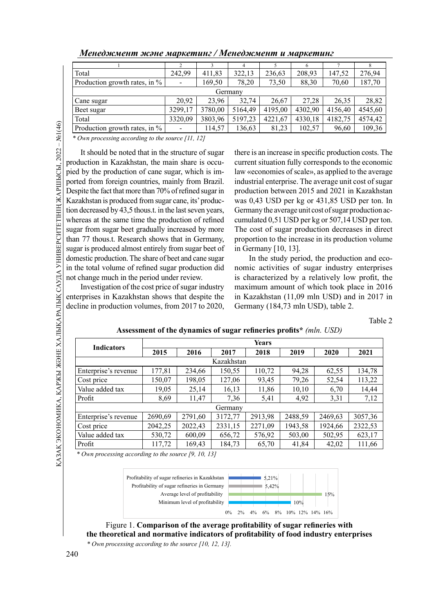|                               | $\mathcal{L}$            |         |         |         |         |         |         |  |  |
|-------------------------------|--------------------------|---------|---------|---------|---------|---------|---------|--|--|
| Total                         | 242.99                   | 411,83  | 322,13  | 236,63  | 208,93  | 147,52  | 276,94  |  |  |
| Production growth rates, in % | $\blacksquare$           | 169,50  | 78,20   | 73,50   | 88,30   | 70,60   | 187,70  |  |  |
| Germany                       |                          |         |         |         |         |         |         |  |  |
| Cane sugar                    | 20.92                    | 23.96   | 32.74   | 26,67   | 27.28   | 26.35   | 28,82   |  |  |
| Beet sugar                    | 3299,17                  | 3780,00 | 5164,49 | 4195,00 | 4302,90 | 4156,40 | 4545,60 |  |  |
| Total                         | 3320,09                  | 3803,96 | 5197,23 | 4221,67 | 4330,18 | 4182,75 | 4574,42 |  |  |
| Production growth rates, in % | $\overline{\phantom{a}}$ | 114,57  | 136,63  | 81,23   | 102,57  | 96,60   | 109,36  |  |  |

\* Own processing according to the source [11, 12]

Froduction growth rate<br>
\* *Own processing accordi*<br>
t should be noted t<br>
production in Kazakhsta<br>
pied by the production<br>
ported from foreign courses<br>
Despite the fact that more<br>
Kazakhstan is produced<br>
tion decreased by It should be noted that in the structure of sugar production in Kazakhstan, the main share is occupied by the production of cane sugar, which is imported from foreign countries, mainly from Brazil. Despite the fact that more than 70% of refined sugar in Kazakhstan is produced from sugar cane, its' production decreased by 43,5 thous.t. in the last seven years, whereas at the same time the production of refined sugar from sugar beet gradually increased by more than 77 thous.t. Research shows that in Germany, sugar is produced almost entirely from sugar beet of domestic production. The share of beet and cane sugar in the total volume of refined sugar production did not change much in the period under review.

Investigation of the cost price of sugar industry enterprises in Kazakhstan shows that despite the decline in production volumes, from 2017 to 2020,

there is an increase in specific production costs. The current situation fully corresponds to the economic law «economies of scale», as applied to the average industrial enterprise. The average unit cost of sugar production between 2015 and 2021 in Kazakhstan was 0,43 USD per kg or 431,85 USD per ton. In Germany the average unit cost of sugar production accumulated 0,51 USD per kg or 507,14 USD per ton. The cost of sugar production decreases in direct proportion to the increase in its production volume in Germany [10, 13].

In the study period, the production and economic activities of sugar industry enterprises is characterized by a relatively low profit, the maximum amount of which took place in 2016 in Kazakhstan (11,09 mln USD) and in 2017 in Germany (184,73 mln USD), table 2.

Table 2

| <b>Indicators</b>    | <b>Years</b> |         |         |         |         |         |         |  |
|----------------------|--------------|---------|---------|---------|---------|---------|---------|--|
|                      | 2015         | 2016    | 2017    | 2018    | 2019    | 2020    | 2021    |  |
| Kazakhstan           |              |         |         |         |         |         |         |  |
| Enterprise's revenue | 177,81       | 234.66  | 150,55  | 110,72  | 94,28   | 62,55   | 134.78  |  |
| Cost price           | 150,07       | 198,05  | 127,06  | 93,45   | 79,26   | 52,54   | 113,22  |  |
| Value added tax      | 19,05        | 25.14   | 16,13   | 11,86   | 10,10   | 6,70    | 14,44   |  |
| Profit               | 8,69         | 11.47   | 7,36    | 5,41    | 4,92    | 3,31    | 7,12    |  |
|                      |              |         | Germany |         |         |         |         |  |
| Enterprise's revenue | 2690,69      | 2791,60 | 3172.77 | 2913,98 | 2488,59 | 2469,63 | 3057,36 |  |
| Cost price           | 2042,25      | 2022,43 | 2331,15 | 2271,09 | 1943,58 | 1924,66 | 2322,53 |  |
| Value added tax      | 530,72       | 600,09  | 656,72  | 576,92  | 503,00  | 502,95  | 623,17  |  |
| Profit               | 117,72       | 169.43  | 184,73  | 65,70   | 41,84   | 42,02   | 111,66  |  |

Assessment of the dynamics of sugar refineries profits\*  $(mln. USD)$ 



Figure 1. Comparison of the average profitability of sugar refineries with the theoretical and normative indicators of profitability of food industry enterprises \* Own processing according to the source [10, 12, 13].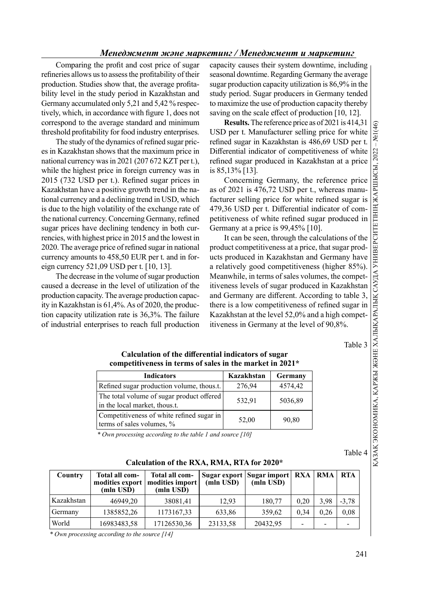Comparing the profit and cost price of sugar refineries allows us to assess the profitability of their production. Studies show that, the average profitability level in the study period in Kazakhstan and Germany accumulated only 5,21 and 5,42 % respectively, which, in accordance with figure 1, does not correspond to the average standard and minimum threshold profitability for food industry enterprises.

The study of the dynamics of refined sugar prices in Kazakhstan shows that the maximum price in national currency was in 2021 (207 672 KZT per t.), while the highest price in foreign currency was in  $2015$  (732 USD per t.). Refined sugar prices in Kazakhstan have a positive growth trend in the national currency and a declining trend in USD, which is due to the high volatility of the exchange rate of the national currency. Concerning Germany, refined sugar prices have declining tendency in both currencies, with highest price in 2015 and the lowest in 2020. The average price of refined sugar in national currency amounts to 458,50 EUR per t. and in foreign currency 521,09 USD per t. [10, 13].

The decrease in the volume of sugar production caused a decrease in the level of utilization of the production capacity. The average production capacity in Kazakhstan is 61,4%. As of 2020, the production capacity utilization rate is 36,3%. The failure of industrial enterprises to reach full production

capacity causes their system downtime, including seasonal downtime. Regarding Germany the average sugar production capacity utilization is 86,9% in the study period. Sugar producers in Germany tended to maximize the use of production capacity thereby saving on the scale effect of production  $[10, 12]$ .

**Results.** The reference price as of 2021 is 414,31  $\circ$ <br> **D** per t. Manufacturer selling price for white ed sugar in Kazakhstan is 486,69 USD per t. USD per t. Manufacturer selling price for white refined sugar in Kazakhstan is 486,69 USD per t. Differential indicator of competitiveness of white is 85,13% [13].

Concerning Germany, the reference price as of 2021 is 476,72 USD per t., whereas manufacturer selling price for white refined sugar is 479,36 USD per t. Differential indicator of competitiveness of white refined sugar produced in Germany at a price is 99,45% [10].

Differential indicator of competitiveness of white refined sugar produced in Kazakhstan at a price<br>
is 85,13% [13].<br>
Concerning Germany, the reference price is and the sugar is and 2021 is 476,72 USD per t., whereas manu-It can be seen, through the calculations of the product competitiveness at a price, that sugar products produced in Kazakhstan and Germany have a relatively good competitiveness (higher 85%). Meanwhile, in terms of sales volumes, the competitiveness levels of sugar produced in Kazakhstan and Germany are different. According to table 3, there is a low competitiveness of refined sugar in Kazakhstan at the level 52,0% and a high competitiveness in Germany at the level of 90,8%.

Table 3

## Calculation of the differential indicators of sugar competitiveness in terms of sales in the market in 2021\*

| <b>Indicators</b>                                                          | Kazakhstan | Germany |  |
|----------------------------------------------------------------------------|------------|---------|--|
| Refined sugar production volume, thous.t.                                  | 276,94     | 4574,42 |  |
| The total volume of sugar product offered<br>in the local market, thous.t. | 532,91     | 5036,89 |  |
| Competitiveness of white refined sugar in<br>terms of sales volumes, %     | 52,00      | 90,80   |  |

\* Own processing according to the table 1 and source [10]

Table 4

| Country    | Total all com-<br>(mln USD) | Total all com-<br>modities export   modities import  <br>(mln USD) | (mln USD) | Sugar export   Sugar import   RXA<br>(mln USD) |      | RMA  | <b>RTA</b> |
|------------|-----------------------------|--------------------------------------------------------------------|-----------|------------------------------------------------|------|------|------------|
| Kazakhstan | 46949,20                    | 38081,41                                                           | 12,93     | 180,77                                         | 0.20 | 3.98 | $-3.78$    |
| Germany    | 1385852,26                  | 1173167,33                                                         | 633.86    | 359,62                                         | 0.34 | 0.26 | 0.08       |
| World      | 16983483,58                 | 17126530,36                                                        | 23133,58  | 20432,95                                       |      |      |            |

Calculation of the RXA, RMA, RTA for 2020\*

\* Own processing according to the source [14]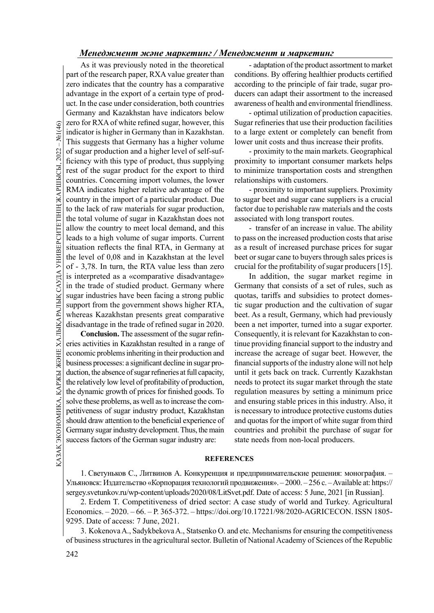This suggests that Germinal indicator is higher in Germinal indicator is higher in Germinal ficiency with this type rest of the sugar production and ficiency with this type rest of the sugar production and countries. Conc As it was previously noted in the theoretical part of the research paper, RXA value greater than zero indicates that the country has a comparative advantage in the export of a certain type of product. In the case under consideration, both countries Germany and Kazakhstan have indicators below zero for RXA of white refined sugar, however, this indicator is higher in Germany than in Kazakhstan. This suggests that Germany has a higher volume of sugar production and a higher level of self-sufficiency with this type of product, thus supplying rest of the sugar product for the export to third countries. Concerning import volumes, the lower RMA indicates higher relative advantage of the country in the import of a particular product. Due to the lack of raw materials for sugar production, the total volume of sugar in Kazakhstan does not allow the country to meet local demand, and this leads to a high volume of sugar imports. Current situation reflects the final RTA, in Germany at the level of 0,08 and in Kazakhstan at the level of - 3,78. In turn, the RTA value less than zero is interpreted as a «comparative disadvantage» in the trade of studied product. Germany where sugar industries have been facing a strong public support from the government shows higher RTA, whereas Kazakhstan presents great comparative disadvantage in the trade of refined sugar in 2020.

BUSINESS processes. a significant decline in sugar pro-<br>
duction, the absence of sugar refineries at full capacity, until it gets<br>
the relatively low level of profitability of production, needs to prove<br>
the dynamic growt Conclusion. The assessment of the sugar refineries activities in Kazakhstan resulted in a range of economic problems inheriting in their production and business processes: a significant decline in sugar production, the absence of sugar refineries at full capacity, the relatively low level of profitability of production, the dynamic growth of prices for finished goods. To solve these problems, as well as to increase the competitiveness of sugar industry product, Kazakhstan should draw attention to the beneficial experience of Germany sugar industry development. Thus, the main success factors of the German sugar industry are:

- adaptation of the product assortment to market conditions. By offering healthier products certified according to the principle of fair trade, sugar producers can adapt their assortment to the increased awareness of health and environmental friendliness.

- optimal utilization of production capacities. Sugar refineries that use their production facilities to a large extent or completely can benefit from lower unit costs and thus increase their profits.

- proximity to the main markets. Geographical proximity to important consumer markets helps to minimize transportation costs and strengthen relationships with customers.

- proximity to important suppliers. Proximity to sugar beet and sugar cane suppliers is a crucial factor due to perishable raw materials and the costs associated with long transport routes.

- transfer of an increase in value. The ability to pass on the increased production costs that arise as a result of increased purchase prices for sugar beet or sugar cane to buyers through sales prices is crucial for the profitability of sugar producers  $[15]$ .

In addition, the sugar market regime in Germany that consists of a set of rules, such as quotas, tariffs and subsidies to protect domestic sugar production and the cultivation of sugar beet. As a result, Germany, which had previously been a net importer, turned into a sugar exporter. Consequently, it is relevant for Kazakhstan to continue providing financial support to the industry and increase the acreage of sugar beet. However, the financial supports of the industry alone will not help until it gets back on track. Currently Kazakhstan needs to protect its sugar market through the state regulation measures by setting a minimum price and ensuring stable prices in this industry. Also, it is necessary to introduce protective customs duties and quotas for the import of white sugar from third countries and prohibit the purchase of sugar for state needs from non-local producers.

### **REFERENCES**

1. Светуньков С., Литвинов А. Конкуренция и предпринимательские решения: монография. – Ульяновск: Издательство «Корпорация технологий продвижения». – 2000. – 256 с. – Available at: https:// sergey.svetunkov.ru/wp-content/uploads/2020/08/LitSvet.pdf. Date of access: 5 June, 2021 [in Russian].

2. Erdem T. Competitiveness of dried sector: A case study of world and Turkey. Agricultural Economics. – 2020. – 66. – P. 365-372. – https://doi.org/10.17221/98/2020-AGRICECON. ISSN 1805- 9295. Date of access: 7 June, 2021.

3. Kokenova A., Sadykbekova A., Statsenko O. and etc. Mechanisms for ensuring the competitiveness of business structures in the agricultural sector. Bulletin of National Academy of Sciences of the Republic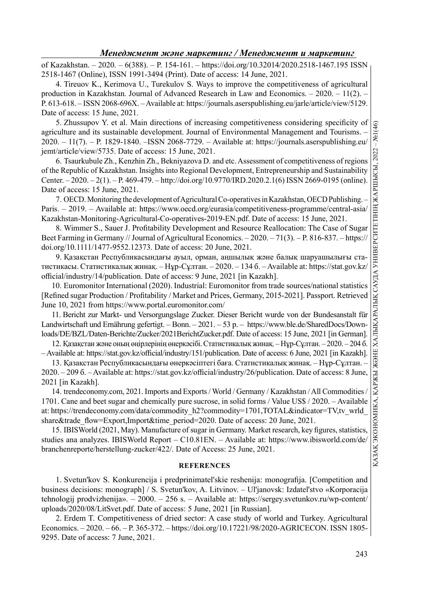of Kazakhstan. – 2020. – 6(388). – P. 154-161. – https://doi.org/10.32014/2020.2518-1467.195 ISSN 2518-1467 (Online), ISSN 1991-3494 (Print). Date of access: 14 June, 2021.

4. Tireuov K., Kerimova U., Turekulov S. Ways to improve the competitiveness of agricultural production in Kazakhstan. Journal of Advanced Research in Law and Economics. – 2020. – 11(2). – P. 613-618. – ISSN 2068-696X. – Available at: https://journals.aserspublishing.eu/jarle/article/view/5129. Date of access: 15 June, 2021.

5. Zhussupov Y. et al. Main directions of increasing competitiveness considering specificity of agriculture and its sustainable development. Journal of Environmental Management and Tourisms. – 2020. – 11(7). – P. 1829-1840. –ISSN 2068-7729. – Available at: https://journals.aserspublishing.eu/ jemt/article/view/5735. Date of access: 15 June, 2021.

of the Republic of Kazakhstan. Insights into Regional Development, Entrepreneurship and Sustainability Center. – 2020. – 2(1). – P. 469-479. – http://doi.org/10.9770/IRD.2020.2.1(6) ISSN 2669-0195 (online). Date of access: 15 June, 2021.

7. OECD. Monitoring the development of Agricultural Co-operatives in Kazakhstan, OECD Publishing. – Paris. – 2019. – Available at: https://www.oecd.org/eurasia/competitiveness-programme/central-asia/ Kazakhstan-Monitoring-Agricultural-Co-operatives-2019-EN.pdf. Date of access: 15 June, 2021.

8. Wimmer S., Sauer J. Profitability Development and Resource Reallocation: The Case of Sugar Beet Farming in Germany // Journal of Agricultural Economics. – 2020. – 71(3). – P. 816-837. – https:// doi.org/10.1111/1477-9552.12373. Date of access: 20 June, 2021.

9. Қазақстан Республикасындағы ауыл, орман, аңшылық және балық шаруашылығы статистикасы. Статистикалық жинақ. – Нұр-Сұлтан. – 2020. – 134 б. – Available at: https://stat.gov.kz/ official/industry/14/publication. Date of access: 9 June, 2021 [in Kazakh].

10. Euromonitor International (2020). Industrial: Euromonitor from trade sources/national statistics [Refined sugar Production / Profitability / Market and Prices, Germany, 2015-2021]. Passport. Retrieved June 10, 2021 from https://www.portal.euromonitor.com/

11. Bericht zur Markt- und Versorgungslage Zucker. Dieser Bericht wurde von der Bundesanstalt für Landwirtschaft und Ernährung gefertigt. – Bonn. – 2021. – 53 p. – https://www.ble.de/SharedDocs/Downloads/DE/BZL/Daten-Berichte/Zucker/2021BerichtZucker.pdf. Date of access: 15 June, 2021 [in German].

12. Қазақстан және оның өңірлерінің өнеркәсібі. Статистикалық жинақ. – Нұр-Сұлтан. – 2020. – 204 б.  $-$  Available at: https://stat.gov.kz/official/industry/151/publication. Date of access: 6 June, 2021 [in Kazakh].

13. Қазақстан Республикасындағы өнеркәсіптегі баға. Статистикалық жинақ. – Нұр-Сұлтан. – 2020. – 209 6. – Available at: https://stat.gov.kz/official/industry/26/publication. Date of access: 8 June, 2021 [in Kazakh].

Ariative Voltain Internation (Figure 2011). The consecution of the production of the section of the section of the section of the section of the elements of regional Development, Enterpreneurship and Sustainability  $\frac{3}{$ 14. trendeconomy.com, 2021. Imports and Exports / World / Germany / Kazakhstan / All Commodities / 1701. Cane and beet sugar and chemically pure sucrose, in solid forms / Value US\$ / 2020. – Available at: https://trendeconomy.com/data/commodity\_h2?commodity=1701,TOTAL&indicator=TV,tv\_wrld share&trade\_flow=Export,Import&time\_period=2020. Date of access: 20 June, 2021.

15. IBISWorld (2021, May). Manufacture of sugar in Germany. Market research, key figures, statistics studies ana analyzes. IBISWorld Report – C10.81EN. – Available at: https://www.ibisworld.com/de/ branchenreporte/herstellung-zucker/422/. Date of Access: 25 June, 2021.

### **REFERENCES**

1. Svetun'kov S. Konkurencija i predprinimatel'skie reshenija: monografija. [Competition and business decisions: monograph] / S. Svetun'kov, A. Litvinov. – Ul'janovsk: Izdatel'stvo «Korporacija tehnologij prodvizhenija». – 2000. – 256 s. – Available at: https://sergey.svetunkov.ru/wp-content/ uploads/2020/08/LitSvet.pdf. Date of access: 5 June, 2021 [in Russian].

2. Erdem T. Competitiveness of dried sector: A case study of world and Turkey. Agricultural Economics. – 2020. – 66. – P. 365-372. – https://doi.org/10.17221/98/2020-AGRICECON. ISSN 1805- 9295. Date of access: 7 June, 2021.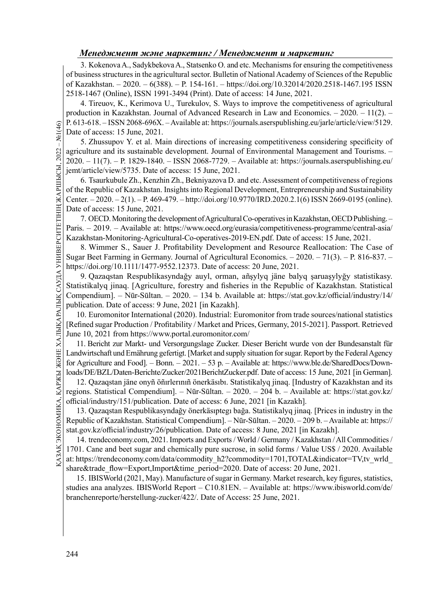3. Kokenova A., Sadykbekova A., Statsenko O. and etc. Mechanisms for ensuring the competitiveness of business structures in the agricultural sector. Bulletin of National Academy of Sciences of the Republic of Kazakhstan. – 2020. – 6(388). – P. 154-161. – https://doi.org/10.32014/2020.2518-1467.195 ISSN 2518-1467 (Online), ISSN 1991-3494 (Print). Date of access: 14 June, 2021.

4. Tireuov, K., Kerimova U., Turekulov, S. Ways to improve the competitiveness of agricultural production in Kazakhstan. Journal of Advanced Research in Law and Economics. – 2020. – 11(2). – P. 613-618. – ISSN 2068-696X. – Available at: https://journals.aserspublishing.eu/jarle/article/view/5129. Date of access: 15 June, 2021.

 $\frac{Q}{Z}$  P. 013-018. - 1SSN 2008<br>
Date of access: 15 June<br>
5. Zhussupov Y. e<br>
agriculture and its sust<br>
2020. - 11(7). - P. 182<br>
jemt/article/view/5735.<br>
6. Tsaurkubule Zh.<br>
of the Republic of Kaza<br>
Center. - 2020. - 2(1 5. Zhussupov Y. et al. Main directions of increasing competitiveness considering specificity of agriculture and its sustainable development. Journal of Environmental Management and Tourisms. – 2020. – 11(7). – P. 1829-1840. – ISSN 2068-7729. – Available at: https://journals.aserspublishing.eu/ jemt/article/view/5735. Date of access: 15 June, 2021.

6. Tsaurkubule Zh., Kenzhin Zh., Bekniyazova D. and etc. Assessment of competitiveness of regions of the Republic of Kazakhstan. Insights into Regional Development, Entrepreneurship and Sustainability Center. – 2020. – 2(1). – P. 469-479. – http://doi.org/10.9770/IRD.2020.2.1(6) ISSN 2669-0195 (online). Date of access: 15 June, 2021.

7. OECD. Monitoring the development of Agricultural Co-operatives in Kazakhstan, OECD Publishing. – Paris. – 2019. – Available at: https://www.oecd.org/eurasia/competitiveness-programme/central-asia/ Kazakhstan-Monitoring-Agricultural-Co-operatives-2019-EN.pdf. Date of access: 15 June, 2021.

8. Wimmer S., Sauer J. Profitability Development and Resource Reallocation: The Case of Sugar Beet Farming in Germany. Journal of Agricultural Economics. – 2020. – 71(3). – P. 816-837. – https://doi.org/10.1111/1477-9552.12373. Date of access: 20 June, 2021.

9. Qazaqstan Respublikasyndağy auyl, orman, añşylyq jäne balyq şaruaşylyğy statistikasy. Statistikalyq jinaq. [Agriculture, forestry and fisheries in the Republic of Kazakhstan. Statistical Compendium]. – Nūr-Sūltan. – 2020. – 134 b. Available at: https://stat.gov.kz/official/industry/14/ publication. Date of access: 9 June, 2021 [in Kazakh].

10. Euromonitor International (2020). Industrial: Euromonitor from trade sources/national statistics [Refined sugar Production / Profitability / Market and Prices, Germany, 2015-2021]. Passport. Retrieved June 10, 2021 from https://www.portal.euromonitor.com/

11. Bericht zur Markt- und Versorgungslage Zucker. Dieser Bericht wurde von der Bundesanstalt für Landwirtschaft und Ernährung gefertigt. [Market and supply situation for sugar. Report by the Federal Agency for Agriculture and Food]. – Bonn. – 2021. – 53 p. – Available at: https://www.ble.de/SharedDocs/Downloads/DE/BZL/Daten-Berichte/Zucker/2021BerichtZucker.pdf. Date of access: 15 June, 2021 [in German].

12. Qazaqstan jäne onyñ öñırlerınıñ önerkäsıbı. Statistikalyq jinaq. [Industry of Kazakhstan and its regions. Statistical Compendium]. – Nūr-Sūltan. – 2020. – 204 b. – Available at: https://stat.gov.kz/ official/industry/151/publication. Date of access: 6 June, 2021 [in Kazakh].

13. Qazaqstan Respublikasyndağy önerkäsıptegı bağa. Statistikalyq jinaq. [Prices in industry in the Republic of Kazakhstan. Statistical Compendium]. – Nūr-Sūltan. – 2020. – 209 b. – Available at: https:// stat.gov.kz/official/industry/26/publication. Date of access: 8 June, 2021 [in Kazakh].

As Tor Agriculture and Food]. – Bolin. – 2021. – 33 p. – Avanable at. 1<br>
loads/DE/BZL/Daten-Berichte/Zucker/2021BerichtZucker.pdf. Date<br>
12. Qazaqstan jäne onyñ öñirlerinn önerkäsibi. Statistikalyq j<br>
regions. Statistical 14. trendeconomy.com, 2021. Imports and Exports / World / Germany / Kazakhstan / All Commodities / 1701. Cane and beet sugar and chemically pure sucrose, in solid forms / Value US\$ / 2020. Available at: https://trendeconomy.com/data/commodity\_h2?commodity=1701,TOTAL&indicator=TV,tv\_wrld share&trade\_flow=Export,Import&time\_period=2020. Date of access: 20 June, 2021.

15. IBISWorld (2021, May). Manufacture of sugar in Germany. Market research, key figures, statistics, studies ana analyzes. IBISWorld Report – C10.81EN. – Available at: https://www.ibisworld.com/de/ branchenreporte/herstellung-zucker/422/. Date of Access: 25 June, 2021.